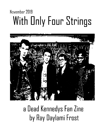## November 2019 With Only Four Strings



## a Dead Kennedys Fan Zine by Ray Daylami Frost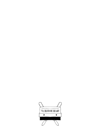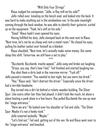"With Only Four Strings"

Klaus nudged his companion. "Jello, is Ray still on his side?"

Jello rolled over, kneeling on the bench seat, and looked into the back. It was hard to make anything out in the windowless van. In the pale moonlight coming through the back window, he was able to identify their guitarist, curled up on the equipment. "Yeah, he's still on his side."

"Good." Klaus hadn't even opened his eyes.

Having fulfilled his duty, Jello slumped back on the seat next to Klaus. "Next time, let's not be so cheap and rent a motel room." He closed his eyes, pulling his leather jacket over himself as a blanket.

Klaus chuckled. "Next time, let's actually make some money. Get some sleep this shift. Tomorrow, we still have a set to play."

\*\*\*

"Buzzbomb, Buzzbomb, macho appeal," Jello sang and broke out laughing.

"Gross, you say, that's how I feel." Ted finished and started laughing too. Ray shot them a dirty look in the rearview mirror. "Fuck off."

Jello paused a moment. "You wanted to last night, but you were too drunk."

"Hey," Klaus said, "don't distract the driver." Especially since the driver had a terrible headache.

Ray turned into a dirt lot behind a rickety wooden building. The Silver Spur. Like every other bar they had played, it didn't look like much, let alone a place hosting a punk show in a few hours. Ray pulled Buzzbomb the van up near the "stage entrance."

"Here we are." He looked over his shoulder at Ted and Jello. "The Silver Spur. Maybe it's not a honky-tonk."

Jello sneered wickedly. "Maybe."

"Let's find out," Ted said, getting out of the van. He and Klaus went over to the "stage entrance" and knocked.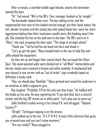After a minute, a startled middle-aged blonde, clearly the bartender, opened the door.

"Hi." Ted waved. "We're the DK's. Your manager booked us for tonight."

The bartender looked them over. The boy talking to her and the bespectacled man next to him looked normal enough, but their band mates; the tall, slender brunette and the stocky boy with spiked black hair; were far more aggressive looking than their musicians usually were. But booking wasn't her job. She checked the list on the wall next to the door. The DK's were on it. "Okay," she said, propping the door open, "The stage is straight ahead."

"Thank you." Ted forced his tan hand into hers and shook it.

"Let's go get the gear." Klaus headed back to the van to help Ray and Jello unload the equipment.

As they set up and began their sound check, Ray surveyed the Silver Spur. The wood-paneled walls were decked out in "old West" memorabilia and the bar stools were covered in brown and white cowhide. A mechanical bull was shoved in one corner with an "out of order" sign crookedly taped on. Definitely a honky-tonk.

"Ray, we should play 'Rawhide.'" Klaus grinned and raised his eyebrows in an imitation of Jello's signature grin.

Ray laughed. "Probably. It'll be the only one they know." He fiddled with the knobs on his amp. He was regretting his 'If you love God, burn a church' sticker and the big 'DK' drawn on in white paint. "Let's play one to warm up."

Jello finished crudely wiring in his cheap P.A. and shrugged. "'Kepone Factory'?"

"Alright." Ted began tapping in on the drums.

Jello walked up to the mic. "K-E-P-O-N-E. A tasty little chemical that gives you crossed eyes and you can't come anymore."

"Are you ready?" Klaus plugged in.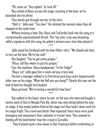"Oh, come on," Ray sighed, "or fuck off."

Ray smiled at Klaus across the stage, counting in the bass, as he launched into his shred.

They barely got through one bar of the intro.

"Hold it," Jello said, "Too slow." He relished the moment when they all stopped at the same time.

Without missing a beat, Ray, Klaus and Ted broke back into the song at a conventionally unprecedented thrash. This 'too slow' crap was becoming Jello's signature with this song; he pulled it almost every time they played it.

\*\*\*

Jello wiped his forehead with his hole-filled t-shirt. "We should ask them to turn up the heat. We're too cold."

Ray laughed. "You've got some grapes."

"Klaus, tell Ray where to put his grapes."

Ever the mediator, Klaus deadpanned, "In the fridge!"

"Klaus, no!" Jello gave him a mock-serious cross look.

The bar's manager walked in to find three punk boys and a bespectacled older man on his stage. "What the Hell are you doing?" Clearly this was not the kind of band he thought he'd booked.

Klaus grinned. "We're having a wonderful time here."

\*\*\*

Ray walked to the liquor store he saw on the way into town and bought a twelve-pack of Sierra Nevada Pale Ale, which was now sitting behind his amp on stage. A few empty bottles littered the stage, but they hadn't done much for his stage fright. The crowd was better than expected; there were more punk teenagers and newcomers than rednecks in trucker hats. They seemed to feeding off the band better than the crowd in Corvallis.

They'd played quite a few shows in San Francisco before embarking on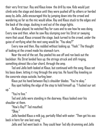their very first tour. Ray and Klaus knew the drill by now. Kids would just climb onto the stage and dance until they were pushed off by others or herded away by Jello. Jello encouraged this by jumping down into the crowd and wandering as far as the mic would allow. Ray and Klaus stuck to the edges and the back of the stage, ducking in and out of the stage lights.

As Klaus played, he watched Ray for cues and to see how he was doing. Every now and then, when he saw Ray slumping over his Strat or swaying more that usual, Klaus crossed the stage, back turned to the crowd, under the guise of verifying what the next song would be. "You okay?"

Every now and then, Ray nodded without looking up. "Yeah." The thought of looking at the crowd made his stomach turn.

Near the end of the set, Ray peeled his axe off and ran back out the backdoor. His Strat landed face up; the strings struck and still ringing, something almost like a bar chord, through the amp.

Ted and Jello both looked at Klaus, but continued with the song. Klaus set his bass down, letting it ring through the amp too. He found Ray kneeling on the concrete steps outside, hurling beer.

Klaus put his hand between Ray's shoulder blades. "You're okay."

Ray spat holding the edge of the step to hold himself up. "I fucked our set up."

"You're fine."

Ted and Jello were standing in the doorway. Klaus looked over his shoulder at them.

"How's Ray?" Ted mouthed.

"Okay."

Jello handed Klaus a milk jug, partially filled with water. "Then get his ass back in here for one last song."

Jello and Ted went back in. They could hear Ted idly drumming and Jello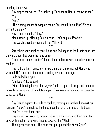heckling the crowd.

Ray sipped the water. "We fucked up 'Forward to Death,' thanks to me." "No."

"Yes."

"The ringing sounds fucking awesome. We should finish 'Riot.' We can write it the song."

Ray forced a smile. "Okay."

Klaus stood up, offering Ray his hand. "Let's go play 'Rawhide.'"

Ray took his hand, swaying a little. "All right."

After their very brief encore, Klaus and Ted began to load their gear into the van, since they were the road crew.

\*\*\*

"Jello, keep an eye on Ray." Klaus directed him toward the alley outside the bar.

Ray had slunk off, probably to take a piss or throw up, but Klaus was worried. He'd counted nine empties rolling around the stage.

Jello rolled his eyes.

"Seriously," Klaus said.

"Fine. I'll fucking babysit him *again."* Jello jumped off stage and became invisible in the crowd of drunk teenagers. They were barely younger than the band, save Klaus.

\*\*\*

Ray leaned against the side of the bar, resting his forehead against his forearm. "Fuck." He realized he'd just pissed all over the toes of his Docs.

"You're in that band, huh?"

Ray zipped his jeans up, before looking for the source of the voice. Two guys with trucker hats were headed toward him. "What?"

The big redhead said, "The band that just played the Silver Spur."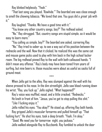Ray blinked helplessly. "Yeah."

"That last song you played, 'Rawhide.'" The bearded one was close enough to smell the chewing tobacco. "We loved that one. You guys did a *great* job with it."

Ray laughed. "Thanks. We have a good time with it."

"You know any other country songs, boy?" The redhead asked.

"No." Ray shrugged. "But, country songs are stupid simple, so it would be easy to learn more."

"You calling us simple, boy?" The bearded one asked, cornering Ray.

"No." Ray tried to sober up, to see a way out of his position between the rednecks and the wall. Now that it clicked, he realized this was the same cat and mouse game jocks used to play with him back in the high school locker room. The big redhead pinned Ray to the wall with both calloused hands. "I didn't mean any offense." Ray's body may have been toned from years of surfing, but nine beers in, those muscles were about as useful as sacks full of ground meat.

When Jello got to the alley, Ray was slumped against the wall with his sleeve pressed to his nose. In the dim streetlight, Jello saw blood running down his wrist. "Ray, you fuck up." Jello sighed. "What happened?"

\*\*\*

Ray's voice was muffled, nasal, and a little cracked. "Rednecks." He knelt in front of him. "Jesus, you've got to stop pulling this shit." "Like I fucking enjoy it."

Jello rolled his eyes. "You okay?" He stood up, offering Ray both hands. Ray gripped Jello's muscular forearms and pulled himself up. "That fucking hurt." He shut his eyes, took a deep breath. "Yeah, I'm okay." "Good. We need you for tomorrow night, you jackass." Jello walked alongside Ray to Buzzbomb. Ray fumbled to unlock the door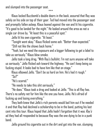and slumped into the passenger seat.

\*\*\*

Klaus locked Buzzbomb's double doors in the back, assured that Ray was safely on his side on top of their gear. Ted had moved into the passenger seat and promptly fallen asleep. Klaus leaned against the van and lit his cigarette. "It's good to be landed for the night." He looked around the area as not a single car drove by. "At least this is a peaceful spot."

Jello lit his own cigarette. "At least."

"Tonight went okay." Klaus flicked some ash. "Better than expected."

"Still not like the shows back home."

"Yeah, but we need the exposure and a bigger following to get a label to take us seriously." Klaus blew smoke.

Jello took a long drag. "With Ray's bullshit, I'm not sure anyone will take us seriously." Jello flicked ash toward the highway. "He can't keep being so fucking stupid. It looks bad to have him like that on stage."

Klaus elbowed Jello. "Don't be so hard on him. He's had it rough." "So?"

"He's scared."

"He needs to take this shit seriously."

"He does." Klaus took a drag and looked at Jello. "This is all Ray has. There's no safety net for him like the one you have, Jello. He's afraid of fucking up and losing everything."

They both knew that Jello's rich parents would bail him out if he needed it and that Ray had declined a scholarship to be in the band, putting his last cent into this tour. Klaus hoped that Jello hadn't forgotten that it was  $Ray's$ ad they had all responded to because Ray was the one dying to be in a punk band.

Jello ground his cigarette out in the dirt and got into the van, slumping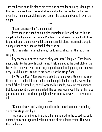into the bench seat. He closed his eyes and pretended to sleep. Klaus got in the van. He looked over the seat at Ray and pulled his leather jacket back over him. Then, picked Jello's jacket up off the seat and draped in over the singer.

\*\*\*

"I can't get over this." Jello sighed.

Everyone in the band held up glass tumblers filled with water. It was illegal to drink alcohol on stage in Portland. They'd barely arrived with time to get set up and do a very brief sound check, let alone figure out a way to smuggle booze on stage or drink before the set.

"It's the water, not much more," Jello sang, almost at the top of his range.

Ray stared out at the crowd as they went into "Drug Me." They looked shockingly like the crowds back home. It felt like set at the Deaf Club or the Fab Mab; there was even some pogoing and slam dancing going on. This was okay. He did his best to watch his hands, not the stage floor.

By "Kill the Poor," Ray was exhausted, so he played sitting on his amp. He wanted to be back home, so he could sleep in his bed again. Everything ached. When he stood up, he still watched his hands, avoiding the audience. But, Klaus caught his eye and smiled. The set was going well. He felt his face get hot, not just from the stage lights. Every note was worth it, nerves and all.

"Chemical warfare!" Jello jumped into the crowd, almost free falling, since this stage was high.

\*\*\*

Ted was drumming at time and a half compared to the bass-line. Jello climbed back on stage and broke out some of his wildest antics. This was their full swing.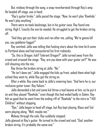But, midway through the song, a snap reverberated through Ray's amp. He headed off stage, axe in hand.

"Ray's guitar broke." Jello paced the stage. "Now, he won't play 'Rawhide.' He won't play anything."

There were no tools backstage, but in his guitar case, Ray found one string. High E. Exactly the one he needed. He struggled to get the broken string off.

"And they got out their clubs and ran after me, yelling, 'We're gonna kill you, you goddamn faggot!'"

Ray smirked. Jello was telling that fucking story about the time he'd come to Portland alone and had encountered his first rednecks.

"So, this is Oregon, huh? Tolerant Oregon?" Jello turned away from the crowd and crossed the stage. "Ray, are you done with your guitar yet?" He was still shouting into the mic.

Ray threw the broken string at Jello. "No."

"He isn't done yet." Jello engaged the kids up front, asked them what high school they went to, while Ray got the string on.

After a while, Ray came back to Jello's sneering face. "And here he is, our reclusive guitar tuner, Ray Valium."

Jello demanded a hat and some kid threw a teal beanie at him, so he put it on and they played "Rawhide," even though this had ended badly in Salem. Ray felt so good that he went from the ending riff of "Rawhide" to the intro to "I Kill Children" without stopping.

"Bye," Jello began to head off stage, but Ray kept playing. Klaus and Ted were playing along. "Well, maybe not."

Midway through the solo, Ray suddenly stopped.

Jello glanced at Ray's guitar. He turned to the crowd and said, "God, another broken string. It's probably the same one."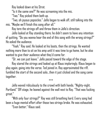Ray looked down at his Strat.

"Is it the same one?" He was screaming into the mic.

"Two." Ray picked them both up.

"Two, oh joyous popsicles." Jello began to walk off, still talking into the mic. "Maybe we'll finish this song after all."

Ray tore the strings off and threw them in Jello's direction.

Jello looked at Ray standing there; he didn't seem to have any intention of quitting. "Do you wanna hear the end of this song with the wrong strings?" He asked the audience.

"Yeah," Ray said. He looked at his boots, then the strings. He wanted nothing more than to sit on his amp until it was time to go home, but he also wanted to give their audience what they'd come for.

"Or, we can just leave." Jello paced toward the edge of the stage.

Ray stared the strings and looked up at Klaus imploringly. Klaus began to play again, going into the verse. Ted joined in. Ray approximated the riff, fumbled the start of the second solo…then it just clicked and the song came together.

\*\*\*

Jello waved ridiculously to the crowd with both hands. "Nighty-night, Portland." Off stage, he leaned against the wall next to Ray. "That was fucking great."

"With only four strings?" Ray was still breathing hard. Every song had been a huge mental effort after those two strings broke. He was exhausted.

"Even better," Klaus said.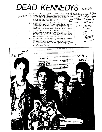## **DEAD KENNEDYS** I think there are of the

U.S. Cauds around, read

the words and

they agnee

Dead Kennedy .001 - Ray Vallum - Guitar, Echo - Was<br>
(east of the limitation of the verse was involved in a philosophical-<br>
sexual cult. Played in greaser band before<br>
Dead Kennedys. Likes film noir. Syd Barrett. lubricants, and electricity.

- Dead Kennedy .002 Klaus Plouride Bass, Vocals -<br>Parents knew Wally Cox. Ran pirate radio stations<br>in Detroit and Boston, WOMB. Ex-member of Nagic<br>Terry. Likes tape recorders, the Velvets, red food, and root canal work. Does not like formica.
- Dead Kennedy .004 Bruce (Ted) Slesinger Rogers<br>Drums Played drums since 12 years old. Stu Studied architecture. Came west to find music, but joined<br>Dead Kennedys instead. Likes "Leave It To Beaver", Tony Willaims, Jack Dejonnette, formica.
- Dead Kennedy .005 Jello Binfra Lead Vocals Former and current actor. Performed in the Healers, a<br>disease-rock outfit bent on creating living hell.<br>Has over 3000 records. "I am a human pinball, shot from place to place in a constant search for that which is truly bent."

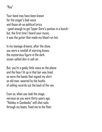"Ray"

Your band may have been known for the singer's bad voice and those oh-so political lyrics –good enough to get Tipper Gore's panties in a bunch– but, the first time I heard your music, it was the guitar that made my blood run hot.

In my teenage dreams, after the show, you were a rainfall of starving kisses the mysterious figure in the dark, ocean-salted skin in salt air.

But, you're a geeky little voice on the phone and the face I lit up in that bar was lined, so were the hands that signed my shirt. an old man, wearied by the hustle of selling records out the back of the van.

Even so, when you took the stage, nervous as you were thirty years ago, "Holiday in Cambodia" still shot nails through my boots, fixed me to the floor.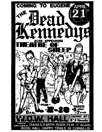